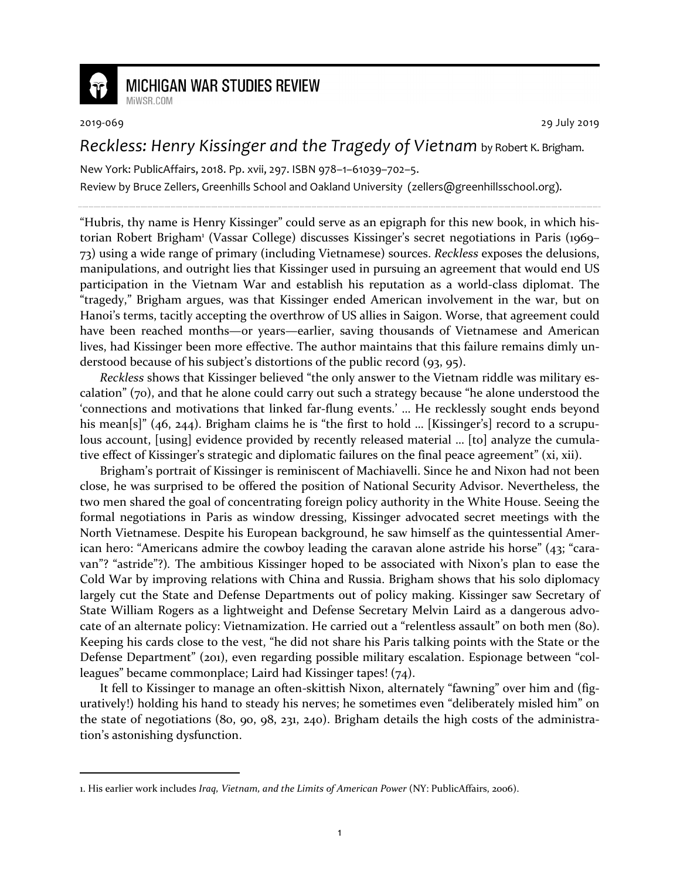

## **MICHIGAN WAR STUDIES REVIEW** MiWSR.COM

<u>.</u>

2019-069 29 July 2019

## *Reckless: Henry Kissinger and the Tragedy of Vietnam* by Robert K. Brigham.

New York: PublicAffairs, 2018. Pp. xvii, 297. ISBN 978–1–61039–702–5.

Review by Bruce Zellers, Greenhills School and Oakland University (zellers@greenhillsschool.org).

"Hubris, thy name is Henry Kissinger" could serve as an epigraph for this new book, in which historian Robert Brigham<sup>1</sup> (Vassar College) discusses Kissinger's secret negotiations in Paris (1969– 73) using a wide range of primary (including Vietnamese) sources. *Reckless* exposes the delusions, manipulations, and outright lies that Kissinger used in pursuing an agreement that would end US participation in the Vietnam War and establish his reputation as a world-class diplomat. The "tragedy," Brigham argues, was that Kissinger ended American involvement in the war, but on Hanoi's terms, tacitly accepting the overthrow of US allies in Saigon. Worse, that agreement could have been reached months—or years—earlier, saving thousands of Vietnamese and American lives, had Kissinger been more effective. The author maintains that this failure remains dimly understood because of his subject's distortions of the public record (93, 95).

*Reckless* shows that Kissinger believed "the only answer to the Vietnam riddle was military escalation" (70), and that he alone could carry out such a strategy because "he alone understood the 'connections and motivations that linked far-flung events.' … He recklessly sought ends beyond his mean[s]" (46, 244). Brigham claims he is "the first to hold ... [Kissinger's] record to a scrupulous account, [using] evidence provided by recently released material … [to] analyze the cumulative effect of Kissinger's strategic and diplomatic failures on the final peace agreement" (xi, xii).

Brigham's portrait of Kissinger is reminiscent of Machiavelli. Since he and Nixon had not been close, he was surprised to be offered the position of National Security Advisor. Nevertheless, the two men shared the goal of concentrating foreign policy authority in the White House. Seeing the formal negotiations in Paris as window dressing, Kissinger advocated secret meetings with the North Vietnamese. Despite his European background, he saw himself as the quintessential American hero: "Americans admire the cowboy leading the caravan alone astride his horse" (43; "caravan"? "astride"?)*.* The ambitious Kissinger hoped to be associated with Nixon's plan to ease the Cold War by improving relations with China and Russia. Brigham shows that his solo diplomacy largely cut the State and Defense Departments out of policy making. Kissinger saw Secretary of State William Rogers as a lightweight and Defense Secretary Melvin Laird as a dangerous advocate of an alternate policy: Vietnamization. He carried out a "relentless assault" on both men (80). Keeping his cards close to the vest, "he did not share his Paris talking points with the State or the Defense Department" (201), even regarding possible military escalation. Espionage between "colleagues" became commonplace; Laird had Kissinger tapes! (74).

It fell to Kissinger to manage an often-skittish Nixon, alternately "fawning" over him and (figuratively!) holding his hand to steady his nerves; he sometimes even "deliberately misled him" on the state of negotiations (80, 90, 98, 231, 240). Brigham details the high costs of the administration's astonishing dysfunction.

<sup>1.</sup> His earlier work includes *Iraq, Vietnam, and the Limits of American Power* (NY: PublicAffairs, 2006).